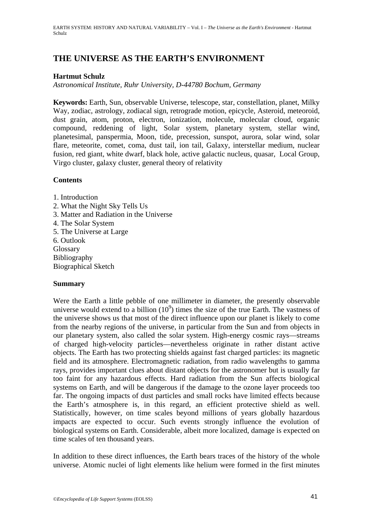# **THE UNIVERSE AS THE EARTH'S ENVIRONMENT**

### **Hartmut Schulz**

*Astronomical Institute, Ruhr University, D-44780 Bochum, Germany* 

**Keywords:** Earth, Sun, observable Universe, telescope, star, constellation, planet, Milky Way, zodiac, astrology, zodiacal sign, retrograde motion, epicycle, Asteroid, meteoroid, dust grain, atom, proton, electron, ionization, molecule, molecular cloud, organic compound, reddening of light, Solar system, planetary system, stellar wind, planetesimal, panspermia, Moon, tide, precession, sunspot, aurora, solar wind, solar flare, meteorite, comet, coma, dust tail, ion tail, Galaxy, interstellar medium, nuclear fusion, red giant, white dwarf, black hole, active galactic nucleus, quasar, Local Group, Virgo cluster, galaxy cluster, general theory of relativity

### **Contents**

1. Introduction 2. What the Night Sky Tells Us 3. Matter and Radiation in the Universe 4. The Solar System 5. The Universe at Large 6. Outlook Glossary Bibliography Biographical Sketch

# **Summary**

Were the Earth a little pebble of one millimeter in diameter, the presently observable universe would extend to a billion  $(10^9)$  times the size of the true Earth. The vastness of the universe shows us that most of the direct influence upon our planet is likely to come from the nearby regions of the universe, in particular from the Sun and from objects in our planetary system, also called the solar system. High-energy cosmic rays—streams of charged high-velocity particles—nevertheless originate in rather distant active objects. The Earth has two protecting shields against fast charged particles: its magnetic field and its atmosphere. Electromagnetic radiation, from radio wavelengths to gamma rays, provides important clues about distant objects for the astronomer but is usually far too faint for any hazardous effects. Hard radiation from the Sun affects biological systems on Earth, and will be dangerous if the damage to the ozone layer proceeds too far. The ongoing impacts of dust particles and small rocks have limited effects because the Earth's atmosphere is, in this regard, an efficient protective shield as well. Statistically, however, on time scales beyond millions of years globally hazardous impacts are expected to occur. Such events strongly influence the evolution of biological systems on Earth. Considerable, albeit more localized, damage is expected on time scales of ten thousand years.

In addition to these direct influences, the Earth bears traces of the history of the whole universe. Atomic nuclei of light elements like helium were formed in the first minutes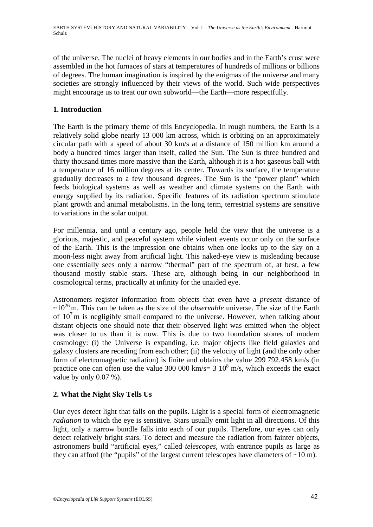of the universe. The nuclei of heavy elements in our bodies and in the Earth's crust were assembled in the hot furnaces of stars at temperatures of hundreds of millions or billions of degrees. The human imagination is inspired by the enigmas of the universe and many societies are strongly influenced by their views of the world. Such wide perspectives might encourage us to treat our own subworld—the Earth—more respectfully.

# **1. Introduction**

The Earth is the primary theme of this Encyclopedia. In rough numbers, the Earth is a relatively solid globe nearly 13 000 km across, which is orbiting on an approximately circular path with a speed of about 30 km/s at a distance of 150 million km around a body a hundred times larger than itself, called the Sun. The Sun is three hundred and thirty thousand times more massive than the Earth, although it is a hot gaseous ball with a temperature of 16 million degrees at its center. Towards its surface, the temperature gradually decreases to a few thousand degrees. The Sun is the "power plant" which feeds biological systems as well as weather and climate systems on the Earth with energy supplied by its radiation. Specific features of its radiation spectrum stimulate plant growth and animal metabolisms. In the long term, terrestrial systems are sensitive to variations in the solar output.

For millennia, and until a century ago, people held the view that the universe is a glorious, majestic, and peaceful system while violent events occur only on the surface of the Earth. This is the impression one obtains when one looks up to the sky on a moon-less night away from artificial light. This naked-eye view is misleading because one essentially sees only a narrow "thermal" part of the spectrum of, at best, a few thousand mostly stable stars. These are, although being in our neighborhood in cosmological terms, practically at infinity for the unaided eye.

Astronomers register information from objects that even have a *present* distance of  $\sim 10^{26}$  m. This can be taken as the size of the *observable* universe. The size of the Earth of  $10<sup>7</sup>$  m is negligibly small compared to the universe. However, when talking about distant objects one should note that their observed light was emitted when the object was closer to us than it is now. This is due to two foundation stones of modern cosmology: (i) the Universe is expanding, i.e. major objects like field galaxies and galaxy clusters are receding from each other; (ii) the velocity of light (and the only other form of electromagnetic radiation) is finite and obtains the value 299 792.458 km/s (in practice one can often use the value 300 000 km/s=  $3 \times 10^8$  m/s, which exceeds the exact value by only 0.07 %).

# **2. What the Night Sky Tells Us**

Our eyes detect light that falls on the pupils. Light is a special form of electromagnetic *radiation* to which the eye is sensitive. Stars usually emit light in all directions. Of this light, only a narrow bundle falls into each of our pupils. Therefore, our eyes can only detect relatively bright stars. To detect and measure the radiation from fainter objects, astronomers build "artificial eyes," called *telescopes*, with entrance pupils as large as they can afford (the "pupils" of the largest current telescopes have diameters of  $\sim 10$  m).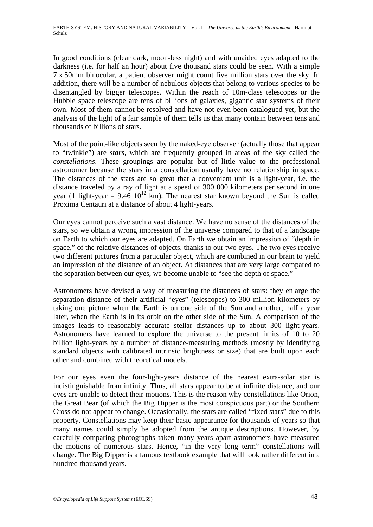In good conditions (clear dark, moon-less night) and with unaided eyes adapted to the darkness (i.e. for half an hour) about five thousand stars could be seen. With a simple 7 x 50mm binocular, a patient observer might count five million stars over the sky. In addition, there will be a number of nebulous objects that belong to various species to be disentangled by bigger telescopes. Within the reach of 10m-class telescopes or the Hubble space telescope are tens of billions of galaxies, gigantic star systems of their own. Most of them cannot be resolved and have not even been catalogued yet, but the analysis of the light of a fair sample of them tells us that many contain between tens and thousands of billions of stars.

Most of the point-like objects seen by the naked-eye observer (actually those that appear to "twinkle") are *stars*, which are frequently grouped in areas of the sky called the *constellations*. These groupings are popular but of little value to the professional astronomer because the stars in a constellation usually have no relationship in space. The distances of the stars are so great that a convenient unit is a light-year, i.e. the distance traveled by a ray of light at a speed of 300 000 kilometers per second in one year (1 light-year =  $9.46 \times 10^{12}$  km). The nearest star known beyond the Sun is called Proxima Centauri at a distance of about 4 light-years.

Our eyes cannot perceive such a vast distance. We have no sense of the distances of the stars, so we obtain a wrong impression of the universe compared to that of a landscape on Earth to which our eyes are adapted. On Earth we obtain an impression of "depth in space," of the relative distances of objects, thanks to our two eyes. The two eyes receive two different pictures from a particular object, which are combined in our brain to yield an impression of the distance of an object. At distances that are very large compared to the separation between our eyes, we become unable to "see the depth of space."

Astronomers have devised a way of measuring the distances of stars: they enlarge the separation-distance of their artificial "eyes" (telescopes) to 300 million kilometers by taking one picture when the Earth is on one side of the Sun and another, half a year later, when the Earth is in its orbit on the other side of the Sun. A comparison of the images leads to reasonably accurate stellar distances up to about 300 light-years. Astronomers have learned to explore the universe to the present limits of 10 to 20 billion light-years by a number of distance-measuring methods (mostly by identifying standard objects with calibrated intrinsic brightness or size) that are built upon each other and combined with theoretical models.

For our eyes even the four-light-years distance of the nearest extra-solar star is indistinguishable from infinity. Thus, all stars appear to be at infinite distance, and our eyes are unable to detect their motions. This is the reason why constellations like Orion, the Great Bear (of which the Big Dipper is the most conspicuous part) or the Southern Cross do not appear to change. Occasionally, the stars are called "fixed stars" due to this property. Constellations may keep their basic appearance for thousands of years so that many names could simply be adopted from the antique descriptions. However, by carefully comparing photographs taken many years apart astronomers have measured the motions of numerous stars. Hence, "in the very long term" constellations will change. The Big Dipper is a famous textbook example that will look rather different in a hundred thousand years.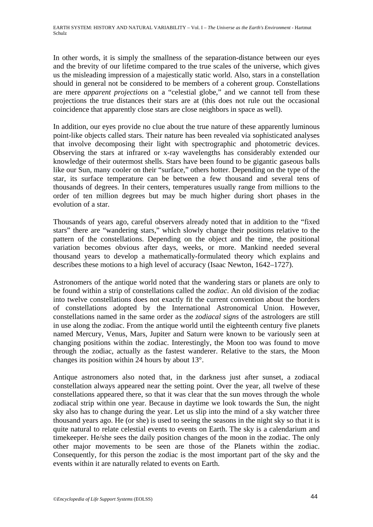In other words, it is simply the smallness of the separation-distance between our eyes and the brevity of our lifetime compared to the true scales of the universe, which gives us the misleading impression of a majestically static world. Also, stars in a constellation should in general not be considered to be members of a coherent group. Constellations are mere *apparent projections* on a "celestial globe," and we cannot tell from these projections the true distances their stars are at (this does not rule out the occasional coincidence that apparently close stars are close neighbors in space as well).

In addition, our eyes provide no clue about the true nature of these apparently luminous point-like objects called stars. Their nature has been revealed via sophisticated analyses that involve decomposing their light with spectrographic and photometric devices. Observing the stars at infrared or x-ray wavelengths has considerably extended our knowledge of their outermost shells. Stars have been found to be gigantic gaseous balls like our Sun, many cooler on their "surface," others hotter. Depending on the type of the star, its surface temperature can be between a few thousand and several tens of thousands of degrees. In their centers, temperatures usually range from millions to the order of ten million degrees but may be much higher during short phases in the evolution of a star.

Thousands of years ago, careful observers already noted that in addition to the "fixed stars" there are "wandering stars," which slowly change their positions relative to the pattern of the constellations. Depending on the object and the time, the positional variation becomes obvious after days, weeks, or more. Mankind needed several thousand years to develop a mathematically-formulated theory which explains and describes these motions to a high level of accuracy (Isaac Newton, 1642–1727).

Astronomers of the antique world noted that the wandering stars or planets are only to be found within a strip of constellations called the *zodiac*. An old division of the zodiac into twelve constellations does not exactly fit the current convention about the borders of constellations adopted by the International Astronomical Union. However, constellations named in the same order as the *zodiacal signs* of the astrologers are still in use along the zodiac. From the antique world until the eighteenth century five planets named Mercury, Venus, Mars, Jupiter and Saturn were known to be variously seen at changing positions within the zodiac. Interestingly, the Moon too was found to move through the zodiac, actually as the fastest wanderer. Relative to the stars, the Moon changes its position within 24 hours by about 13°.

Antique astronomers also noted that, in the darkness just after sunset, a zodiacal constellation always appeared near the setting point. Over the year, all twelve of these constellations appeared there, so that it was clear that the sun moves through the whole zodiacal strip within one year. Because in daytime we look towards the Sun, the night sky also has to change during the year. Let us slip into the mind of a sky watcher three thousand years ago. He (or she) is used to seeing the seasons in the night sky so that it is quite natural to relate celestial events to events on Earth. The sky is a calendarium and timekeeper. He/she sees the daily position changes of the moon in the zodiac. The only other major movements to be seen are those of the Planets within the zodiac. Consequently, for this person the zodiac is the most important part of the sky and the events within it are naturally related to events on Earth.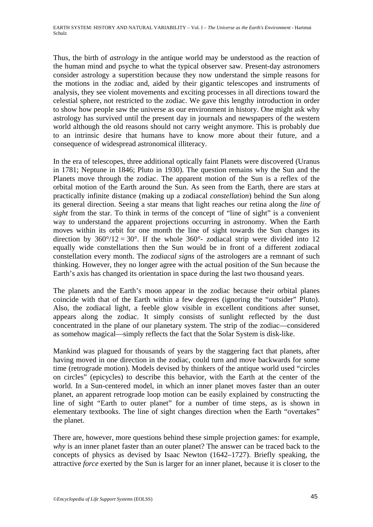Thus, the birth of *astrology* in the antique world may be understood as the reaction of the human mind and psyche to what the typical observer saw. Present-day astronomers consider astrology a superstition because they now understand the simple reasons for the motions in the zodiac and, aided by their gigantic telescopes and instruments of analysis, they see violent movements and exciting processes in all directions toward the celestial sphere, not restricted to the zodiac. We gave this lengthy introduction in order to show how people saw the universe as our environment in history. One might ask why astrology has survived until the present day in journals and newspapers of the western world although the old reasons should not carry weight anymore. This is probably due to an intrinsic desire that humans have to know more about their future, and a consequence of widespread astronomical illiteracy.

In the era of telescopes, three additional optically faint Planets were discovered (Uranus in 1781; Neptune in 1846; Pluto in 1930). The question remains why the Sun and the Planets move through the zodiac. The apparent motion of the Sun is a reflex of the orbital motion of the Earth around the Sun. As seen from the Earth, there are stars at practically infinite distance (making up a zodiacal *constellation*) behind the Sun along its general direction. Seeing a star means that light reaches our retina along the *line of sight* from the star. To think in terms of the concept of "line of sight" is a convenient way to understand the apparent projections occurring in astronomy. When the Earth moves within its orbit for one month the line of sight towards the Sun changes its direction by  $360^{\circ}/12 = 30^{\circ}$ . If the whole  $360^{\circ}$ - zodiacal strip were divided into 12 equally wide constellations then the Sun would be in front of a different zodiacal constellation every month. The *zodiacal signs* of the astrologers are a remnant of such thinking. However, they no longer agree with the actual position of the Sun because the Earth's axis has changed its orientation in space during the last two thousand years.

The planets and the Earth's moon appear in the zodiac because their orbital planes coincide with that of the Earth within a few degrees (ignoring the "outsider" Pluto). Also, the zodiacal light, a feeble glow visible in excellent conditions after sunset, appears along the zodiac. It simply consists of sunlight reflected by the dust concentrated in the plane of our planetary system. The strip of the zodiac—considered as somehow magical—simply reflects the fact that the Solar System is disk-like.

Mankind was plagued for thousands of years by the staggering fact that planets, after having moved in one direction in the zodiac, could turn and move backwards for some time (retrograde motion). Models devised by thinkers of the antique world used "circles on circles" (epicycles) to describe this behavior, with the Earth at the center of the world. In a Sun-centered model, in which an inner planet moves faster than an outer planet, an apparent retrograde loop motion can be easily explained by constructing the line of sight "Earth to outer planet" for a number of time steps, as is shown in elementary textbooks. The line of sight changes direction when the Earth "overtakes" the planet.

There are, however, more questions behind these simple projection games: for example, *why* is an inner planet faster than an outer planet? The answer can be traced back to the concepts of physics as devised by Isaac Newton (1642–1727). Briefly speaking, the attractive *force* exerted by the Sun is larger for an inner planet, because it is closer to the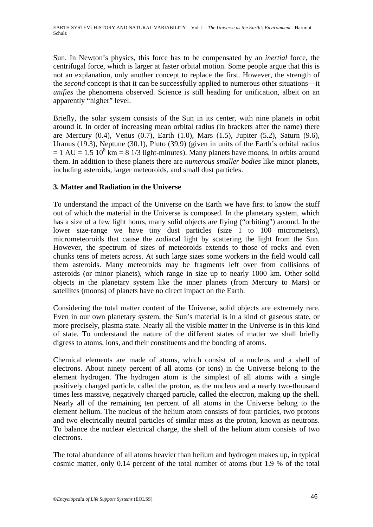Sun. In Newton's physics, this force has to be compensated by an *inertial* force, the centrifugal force, which is larger at faster orbital motion. Some people argue that this is not an explanation, only another concept to replace the first. However, the strength of the *second* concept is that it can be successfully applied to numerous other situations—it *unifies* the phenomena observed. Science is still heading for unification, albeit on an apparently "higher" level.

Briefly, the solar system consists of the Sun in its center, with nine planets in orbit around it. In order of increasing mean orbital radius (in brackets after the name) there are Mercury (0.4), Venus (0.7), Earth (1.0), Mars (1.5), Jupiter (5.2), Saturn (9.6), Uranus (19.3), Neptune (30.1), Pluto (39.9) (given in units of the Earth's orbital radius  $= 1 \text{ AU} = 1.5 \times 10^8 \text{ km} = 8 \frac{1}{3} \text{ light-minutes}$ . Many planets have moons, in orbits around them. In addition to these planets there are *numerous smaller bodies* like minor planets, including asteroids, larger meteoroids, and small dust particles.

# **3. Matter and Radiation in the Universe**

To understand the impact of the Universe on the Earth we have first to know the stuff out of which the material in the Universe is composed. In the planetary system, which has a size of a few light hours, many solid objects are flying ("orbiting") around. In the lower size-range we have tiny dust particles (size 1 to 100 micrometers), micrometeoroids that cause the zodiacal light by scattering the light from the Sun. However, the spectrum of sizes of meteoroids extends to those of rocks and even chunks tens of meters across. At such large sizes some workers in the field would call them asteroids. Many meteoroids may be fragments left over from collisions of asteroids (or minor planets), which range in size up to nearly 1000 km. Other solid objects in the planetary system like the inner planets (from Mercury to Mars) or satellites (moons) of planets have no direct impact on the Earth.

Considering the total matter content of the Universe, solid objects are extremely rare. Even in our own planetary system, the Sun's material is in a kind of gaseous state, or more precisely, plasma state. Nearly all the visible matter in the Universe is in this kind of state. To understand the nature of the different states of matter we shall briefly digress to atoms, ions, and their constituents and the bonding of atoms.

Chemical elements are made of atoms, which consist of a nucleus and a shell of electrons. About ninety percent of all atoms (or ions) in the Universe belong to the element hydrogen. The hydrogen atom is the simplest of all atoms with a single positively charged particle, called the proton, as the nucleus and a nearly two-thousand times less massive, negatively charged particle, called the electron, making up the shell. Nearly all of the remaining ten percent of all atoms in the Universe belong to the element helium. The nucleus of the helium atom consists of four particles, two protons and two electrically neutral particles of similar mass as the proton, known as neutrons. To balance the nuclear electrical charge, the shell of the helium atom consists of two electrons.

The total abundance of all atoms heavier than helium and hydrogen makes up, in typical cosmic matter, only 0.14 percent of the total number of atoms (but 1.9 % of the total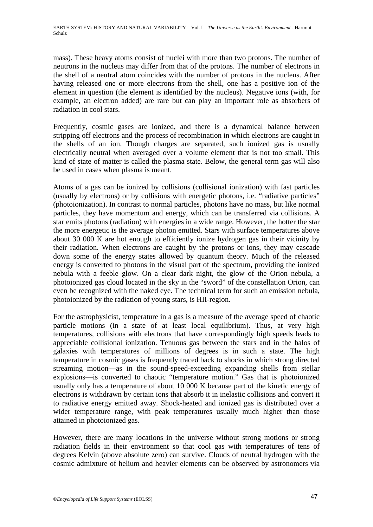mass). These heavy atoms consist of nuclei with more than two protons. The number of neutrons in the nucleus may differ from that of the protons. The number of electrons in the shell of a neutral atom coincides with the number of protons in the nucleus. After having released one or more electrons from the shell, one has a positive ion of the element in question (the element is identified by the nucleus). Negative ions (with, for example, an electron added) are rare but can play an important role as absorbers of radiation in cool stars.

Frequently, cosmic gases are ionized, and there is a dynamical balance between stripping off electrons and the process of recombination in which electrons are caught in the shells of an ion. Though charges are separated, such ionized gas is usually electrically neutral when averaged over a volume element that is not too small. This kind of state of matter is called the plasma state. Below, the general term gas will also be used in cases when plasma is meant.

Atoms of a gas can be ionized by collisions (collisional ionization) with fast particles (usually by electrons) or by collisions with energetic photons, i.e. "radiative particles" (photoionization). In contrast to normal particles, photons have no mass, but like normal particles, they have momentum and energy, which can be transferred via collisions. A star emits photons (radiation) with energies in a wide range. However, the hotter the star the more energetic is the average photon emitted. Stars with surface temperatures above about 30 000 K are hot enough to efficiently ionize hydrogen gas in their vicinity by their radiation. When electrons are caught by the protons or ions, they may cascade down some of the energy states allowed by quantum theory. Much of the released energy is converted to photons in the visual part of the spectrum, providing the ionized nebula with a feeble glow. On a clear dark night, the glow of the Orion nebula, a photoionized gas cloud located in the sky in the "sword" of the constellation Orion, can even be recognized with the naked eye. The technical term for such an emission nebula, photoionized by the radiation of young stars, is HII-region.

For the astrophysicist, temperature in a gas is a measure of the average speed of chaotic particle motions (in a state of at least local equilibrium). Thus, at very high temperatures, collisions with electrons that have correspondingly high speeds leads to appreciable collisional ionization. Tenuous gas between the stars and in the halos of galaxies with temperatures of millions of degrees is in such a state. The high temperature in cosmic gases is frequently traced back to shocks in which strong directed streaming motion—as in the sound-speed-exceeding expanding shells from stellar explosions—is converted to chaotic "temperature motion." Gas that is photoionized usually only has a temperature of about 10 000 K because part of the kinetic energy of electrons is withdrawn by certain ions that absorb it in inelastic collisions and convert it to radiative energy emitted away. Shock-heated and ionized gas is distributed over a wider temperature range, with peak temperatures usually much higher than those attained in photoionized gas.

However, there are many locations in the universe without strong motions or strong radiation fields in their environment so that cool gas with temperatures of tens of degrees Kelvin (above absolute zero) can survive. Clouds of neutral hydrogen with the cosmic admixture of helium and heavier elements can be observed by astronomers via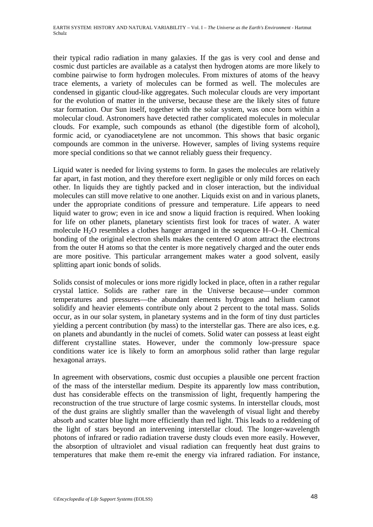their typical radio radiation in many galaxies. If the gas is very cool and dense and cosmic dust particles are available as a catalyst then hydrogen atoms are more likely to combine pairwise to form hydrogen molecules. From mixtures of atoms of the heavy trace elements, a variety of molecules can be formed as well. The molecules are condensed in gigantic cloud-like aggregates. Such molecular clouds are very important for the evolution of matter in the universe, because these are the likely sites of future star formation. Our Sun itself, together with the solar system, was once born within a molecular cloud. Astronomers have detected rather complicated molecules in molecular clouds. For example, such compounds as ethanol (the digestible form of alcohol), formic acid, or cyanodiacetylene are not uncommon. This shows that basic organic compounds are common in the universe. However, samples of living systems require more special conditions so that we cannot reliably guess their frequency.

Liquid water is needed for living systems to form. In gases the molecules are relatively far apart, in fast motion, and they therefore exert negligible or only mild forces on each other. In liquids they are tightly packed and in closer interaction, but the individual molecules can still move relative to one another. Liquids exist on and in various planets, under the appropriate conditions of pressure and temperature. Life appears to need liquid water to grow; even in ice and snow a liquid fraction is required. When looking for life on other planets, planetary scientists first look for traces of water. A water molecule H2O resembles a clothes hanger arranged in the sequence H–O–H. Chemical bonding of the original electron shells makes the centered O atom attract the electrons from the outer H atoms so that the center is more negatively charged and the outer ends are more positive. This particular arrangement makes water a good solvent, easily splitting apart ionic bonds of solids.

Solids consist of molecules or ions more rigidly locked in place, often in a rather regular crystal lattice. Solids are rather rare in the Universe because—under common temperatures and pressures—the abundant elements hydrogen and helium cannot solidify and heavier elements contribute only about 2 percent to the total mass. Solids occur, as in our solar system, in planetary systems and in the form of tiny dust particles yielding a percent contribution (by mass) to the interstellar gas. There are also ices, e.g. on planets and abundantly in the nuclei of comets. Solid water can possess at least eight different crystalline states. However, under the commonly low-pressure space conditions water ice is likely to form an amorphous solid rather than large regular hexagonal arrays.

In agreement with observations, cosmic dust occupies a plausible one percent fraction of the mass of the interstellar medium. Despite its apparently low mass contribution, dust has considerable effects on the transmission of light, frequently hampering the reconstruction of the true structure of large cosmic systems. In interstellar clouds, most of the dust grains are slightly smaller than the wavelength of visual light and thereby absorb and scatter blue light more efficiently than red light. This leads to a reddening of the light of stars beyond an intervening interstellar cloud. The longer-wavelength photons of infrared or radio radiation traverse dusty clouds even more easily. However, the absorption of ultraviolet and visual radiation can frequently heat dust grains to temperatures that make them re-emit the energy via infrared radiation. For instance,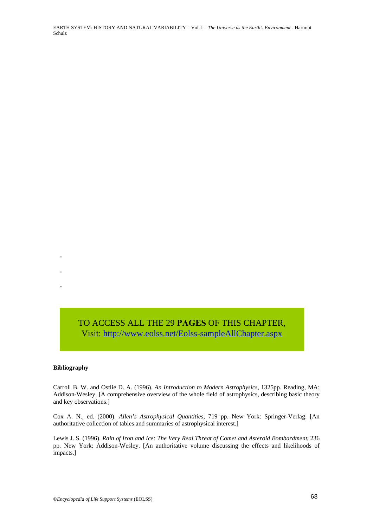EARTH SYSTEM: HISTORY AND NATURAL VARIABILITY – Vol. I – *The Universe as the Earth's Environment* - Hartmut Schulz

Visit: [http://www.eolss.net/Eolss-sampleAllChapter.aspx](https://www.eolss.net/ebooklib/sc_cart.aspx?File=E1-01-01)

#### **Bibliography**

-

-

-

Carroll B. W. and Ostlie D. A. (1996). *An Introduction to Modern Astrophysics*, 1325pp. Reading, MA: Addison-Wesley. [A comprehensive overview of the whole field of astrophysics, describing basic theory and key observations.] **TO ACCESS ALL THE 29 PAGES OF THIS CHAPTER,**<br> **Visit:** http://www.eolss.net/Eolss-sampleAllChapter.aspx<br> **Bibliography**<br>
Carroll B. W. and Ostlie D. A. (1996). An Introduction to Modern Astrophysics, 1325pp. Reading, MA<br>

Cox A. N., ed. (2000). *Allen's Astrophysical Quantities*, 719 pp. New York: Springer-Verlag. [An authoritative collection of tables and summaries of astrophysical interest.]

Lewis J. S. (1996). *Rain of Iron and Ice: The Very Real Threat of Comet and Asteroid Bombardment*, 236 pp. New York: Addison-Wesley. [An authoritative volume discussing the effects and likelihoods of impacts.]